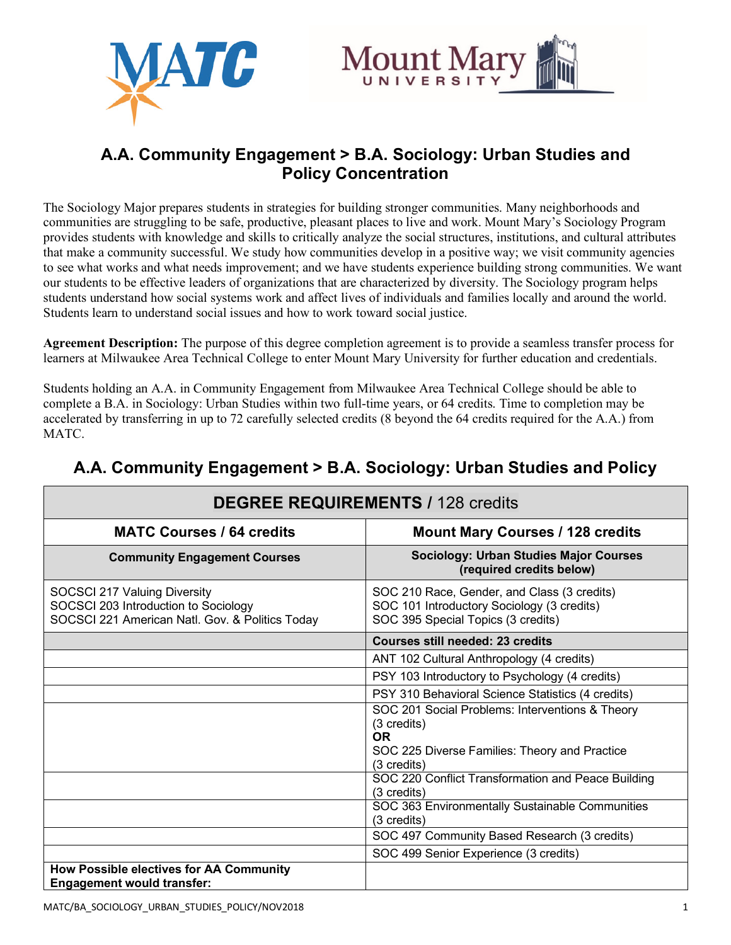



# **A.A. Community Engagement > B.A. Sociology: Urban Studies and Policy Concentration**

The Sociology Major prepares students in strategies for building stronger communities. Many neighborhoods and communities are struggling to be safe, productive, pleasant places to live and work. Mount Mary's Sociology Program provides students with knowledge and skills to critically analyze the social structures, institutions, and cultural attributes that make a community successful. We study how communities develop in a positive way; we visit community agencies to see what works and what needs improvement; and we have students experience building strong communities. We want our students to be effective leaders of organizations that are characterized by diversity. The Sociology program helps students understand how social systems work and affect lives of individuals and families locally and around the world. Students learn to understand social issues and how to work toward social justice.

**Agreement Description:** The purpose of this degree completion agreement is to provide a seamless transfer process for learners at Milwaukee Area Technical College to enter Mount Mary University for further education and credentials.

Students holding an A.A. in Community Engagement from Milwaukee Area Technical College should be able to complete a B.A. in Sociology: Urban Studies within two full-time years, or 64 credits. Time to completion may be accelerated by transferring in up to 72 carefully selected credits (8 beyond the 64 credits required for the A.A.) from MATC.

| <b>DEGREE REQUIREMENTS / 128 credits</b>                                                                                |                                                                                                                                 |  |
|-------------------------------------------------------------------------------------------------------------------------|---------------------------------------------------------------------------------------------------------------------------------|--|
| <b>MATC Courses / 64 credits</b>                                                                                        | <b>Mount Mary Courses / 128 credits</b>                                                                                         |  |
| <b>Community Engagement Courses</b>                                                                                     | <b>Sociology: Urban Studies Major Courses</b><br>(required credits below)                                                       |  |
| SOCSCI 217 Valuing Diversity<br>SOCSCI 203 Introduction to Sociology<br>SOCSCI 221 American Natl. Gov. & Politics Today | SOC 210 Race, Gender, and Class (3 credits)<br>SOC 101 Introductory Sociology (3 credits)<br>SOC 395 Special Topics (3 credits) |  |
|                                                                                                                         | <b>Courses still needed: 23 credits</b>                                                                                         |  |
|                                                                                                                         | ANT 102 Cultural Anthropology (4 credits)                                                                                       |  |
|                                                                                                                         | PSY 103 Introductory to Psychology (4 credits)                                                                                  |  |
|                                                                                                                         | PSY 310 Behavioral Science Statistics (4 credits)                                                                               |  |
|                                                                                                                         | SOC 201 Social Problems: Interventions & Theory<br>(3 credits)<br><b>OR</b><br>SOC 225 Diverse Families: Theory and Practice    |  |
|                                                                                                                         | $(3 \text{ credits})$<br>SOC 220 Conflict Transformation and Peace Building<br>(3 credits)                                      |  |
|                                                                                                                         | SOC 363 Environmentally Sustainable Communities<br>(3 credits)                                                                  |  |
|                                                                                                                         | SOC 497 Community Based Research (3 credits)                                                                                    |  |
|                                                                                                                         | SOC 499 Senior Experience (3 credits)                                                                                           |  |
| <b>How Possible electives for AA Community</b><br><b>Engagement would transfer:</b>                                     |                                                                                                                                 |  |

# **A.A. Community Engagement > B.A. Sociology: Urban Studies and Policy**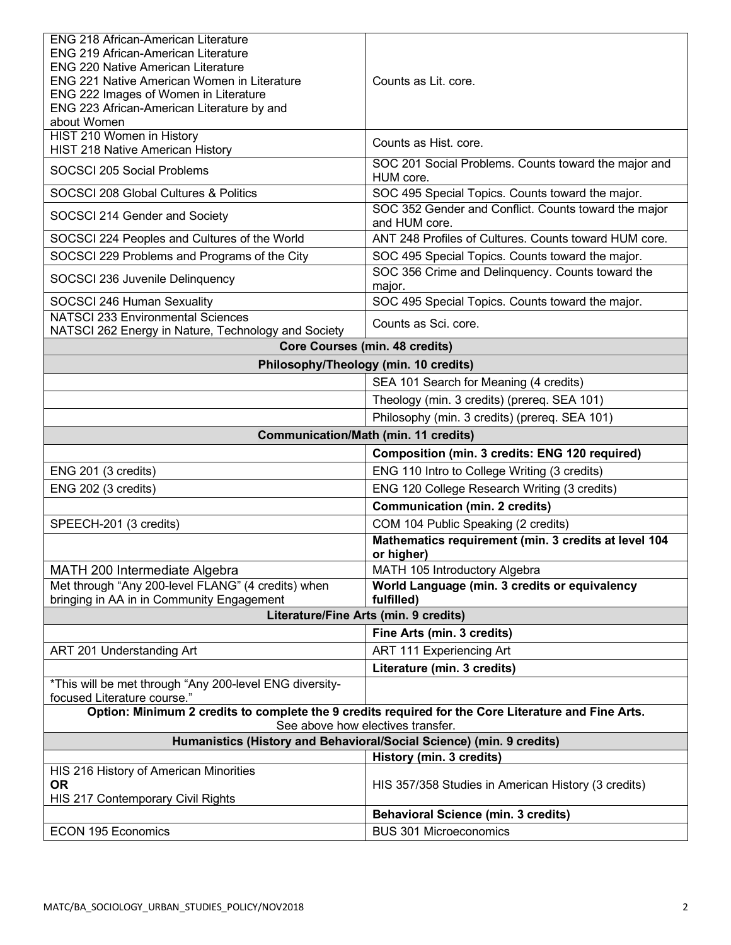| <b>ENG 218 African-American Literature</b>                                                                                               |                                                                       |  |
|------------------------------------------------------------------------------------------------------------------------------------------|-----------------------------------------------------------------------|--|
| <b>ENG 219 African-American Literature</b>                                                                                               |                                                                       |  |
| <b>ENG 220 Native American Literature</b><br><b>ENG 221 Native American Women in Literature</b>                                          | Counts as Lit. core.                                                  |  |
| ENG 222 Images of Women in Literature                                                                                                    |                                                                       |  |
| ENG 223 African-American Literature by and                                                                                               |                                                                       |  |
| about Women                                                                                                                              |                                                                       |  |
| HIST 210 Women in History<br>HIST 218 Native American History                                                                            | Counts as Hist. core.                                                 |  |
| SOCSCI 205 Social Problems                                                                                                               | SOC 201 Social Problems. Counts toward the major and<br>HUM core.     |  |
| SOCSCI 208 Global Cultures & Politics                                                                                                    | SOC 495 Special Topics. Counts toward the major.                      |  |
| SOCSCI 214 Gender and Society                                                                                                            | SOC 352 Gender and Conflict. Counts toward the major<br>and HUM core. |  |
| SOCSCI 224 Peoples and Cultures of the World                                                                                             | ANT 248 Profiles of Cultures. Counts toward HUM core.                 |  |
| SOCSCI 229 Problems and Programs of the City                                                                                             | SOC 495 Special Topics. Counts toward the major.                      |  |
| SOCSCI 236 Juvenile Delinquency                                                                                                          | SOC 356 Crime and Delinquency. Counts toward the<br>major.            |  |
| SOCSCI 246 Human Sexuality                                                                                                               | SOC 495 Special Topics. Counts toward the major.                      |  |
| <b>NATSCI 233 Environmental Sciences</b><br>NATSCI 262 Energy in Nature, Technology and Society                                          | Counts as Sci. core.                                                  |  |
|                                                                                                                                          | <b>Core Courses (min. 48 credits)</b>                                 |  |
|                                                                                                                                          | Philosophy/Theology (min. 10 credits)                                 |  |
|                                                                                                                                          | SEA 101 Search for Meaning (4 credits)                                |  |
|                                                                                                                                          | Theology (min. 3 credits) (prereq. SEA 101)                           |  |
|                                                                                                                                          | Philosophy (min. 3 credits) (prereq. SEA 101)                         |  |
| <b>Communication/Math (min. 11 credits)</b>                                                                                              |                                                                       |  |
|                                                                                                                                          | <b>Composition (min. 3 credits: ENG 120 required)</b>                 |  |
| ENG 201 (3 credits)                                                                                                                      | ENG 110 Intro to College Writing (3 credits)                          |  |
| ENG 202 (3 credits)                                                                                                                      | ENG 120 College Research Writing (3 credits)                          |  |
|                                                                                                                                          | <b>Communication (min. 2 credits)</b>                                 |  |
| SPEECH-201 (3 credits)                                                                                                                   | COM 104 Public Speaking (2 credits)                                   |  |
|                                                                                                                                          | Mathematics requirement (min. 3 credits at level 104<br>or higher)    |  |
| MATH 200 Intermediate Algebra                                                                                                            | MATH 105 Introductory Algebra                                         |  |
| Met through "Any 200-level FLANG" (4 credits) when<br>bringing in AA in in Community Engagement                                          | World Language (min. 3 credits or equivalency<br>fulfilled)           |  |
| Literature/Fine Arts (min. 9 credits)                                                                                                    |                                                                       |  |
|                                                                                                                                          | Fine Arts (min. 3 credits)                                            |  |
| ART 201 Understanding Art                                                                                                                | ART 111 Experiencing Art                                              |  |
|                                                                                                                                          | Literature (min. 3 credits)                                           |  |
| *This will be met through "Any 200-level ENG diversity-<br>focused Literature course."                                                   |                                                                       |  |
| Option: Minimum 2 credits to complete the 9 credits required for the Core Literature and Fine Arts.<br>See above how electives transfer. |                                                                       |  |
|                                                                                                                                          | Humanistics (History and Behavioral/Social Science) (min. 9 credits)  |  |
|                                                                                                                                          | History (min. 3 credits)                                              |  |
| HIS 216 History of American Minorities<br><b>OR</b>                                                                                      |                                                                       |  |
| HIS 217 Contemporary Civil Rights                                                                                                        | HIS 357/358 Studies in American History (3 credits)                   |  |
|                                                                                                                                          | <b>Behavioral Science (min. 3 credits)</b>                            |  |
| <b>ECON 195 Economics</b>                                                                                                                | <b>BUS 301 Microeconomics</b>                                         |  |
|                                                                                                                                          |                                                                       |  |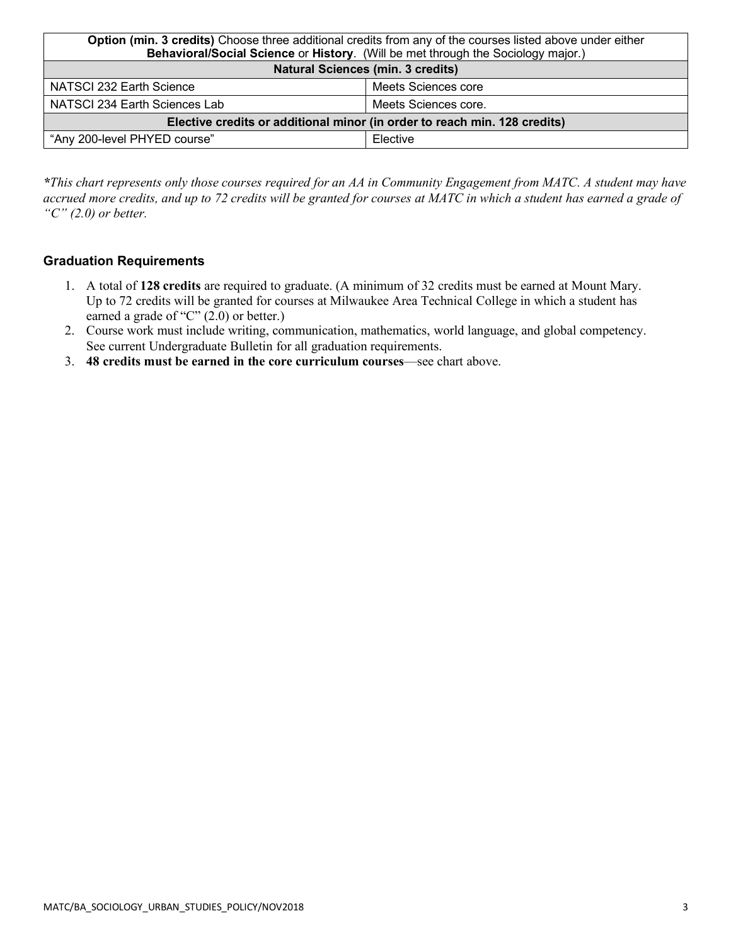| Option (min. 3 credits) Choose three additional credits from any of the courses listed above under either |                      |  |
|-----------------------------------------------------------------------------------------------------------|----------------------|--|
| Behavioral/Social Science or History. (Will be met through the Sociology major.)                          |                      |  |
| <b>Natural Sciences (min. 3 credits)</b>                                                                  |                      |  |
| NATSCI 232 Earth Science                                                                                  | Meets Sciences core  |  |
| NATSCI 234 Earth Sciences Lab                                                                             | Meets Sciences core. |  |
| Elective credits or additional minor (in order to reach min. 128 credits)                                 |                      |  |
| "Any 200-level PHYED course"                                                                              | Elective             |  |

*\*This chart represents only those courses required for an AA in Community Engagement from MATC. A student may have accrued more credits, and up to 72 credits will be granted for courses at MATC in which a student has earned a grade of "C" (2.0) or better.*

#### **Graduation Requirements**

- 1. A total of **128 credits** are required to graduate. (A minimum of 32 credits must be earned at Mount Mary. Up to 72 credits will be granted for courses at Milwaukee Area Technical College in which a student has earned a grade of "C" (2.0) or better.)
- 2. Course work must include writing, communication, mathematics, world language, and global competency. See current Undergraduate Bulletin for all graduation requirements.
- 3. **48 credits must be earned in the core curriculum courses**—see chart above.